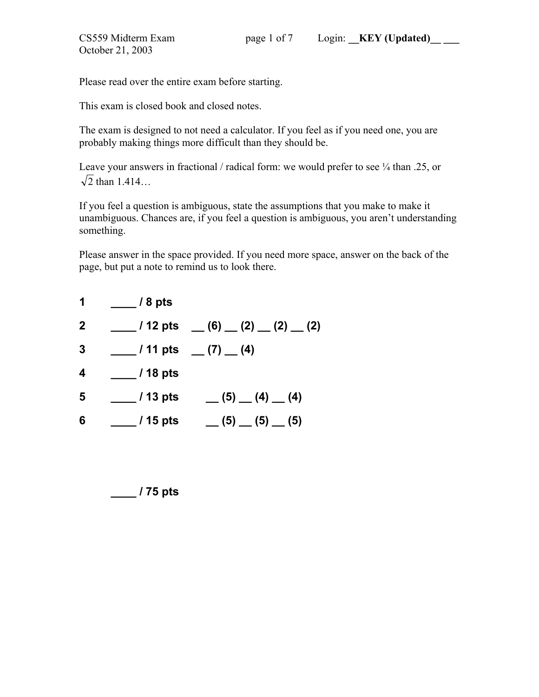This exam is closed book and closed notes.

The exam is designed to not need a calculator. If you feel as if you need one, you are probably making things more difficult than they should be.

Leave your answers in fractional / radical form: we would prefer to see  $\frac{1}{4}$  than .25, or  $\sqrt{2}$  than 1.414…

If you feel a question is ambiguous, state the assumptions that you make to make it unambiguous. Chances are, if you feel a question is ambiguous, you aren't understanding something.

Please answer in the space provided. If you need more space, answer on the back of the page, but put a note to remind us to look there.

| 1            | $\frac{1}{2}$ / 8 pts |                                                             |
|--------------|-----------------------|-------------------------------------------------------------|
| $\mathbf{2}$ |                       | $(2)$ $(12 \text{ pts} \quad$ $(6)$ $(2)$ $(2)$ $(2)$ $(2)$ |
| 3            |                       | $\frac{1}{2}$ / 11 pts $\frac{1}{2}$ (7) $\frac{1}{2}$ (4)  |
| 4            | $/18$ pts             |                                                             |
| 5            | $/13$ pts             | $(5)$ (4) (4)                                               |
| 6            | _ / 15 pts            | $(5)$ (5) (5) (5)                                           |

 **\_\_\_\_ / 75 pts**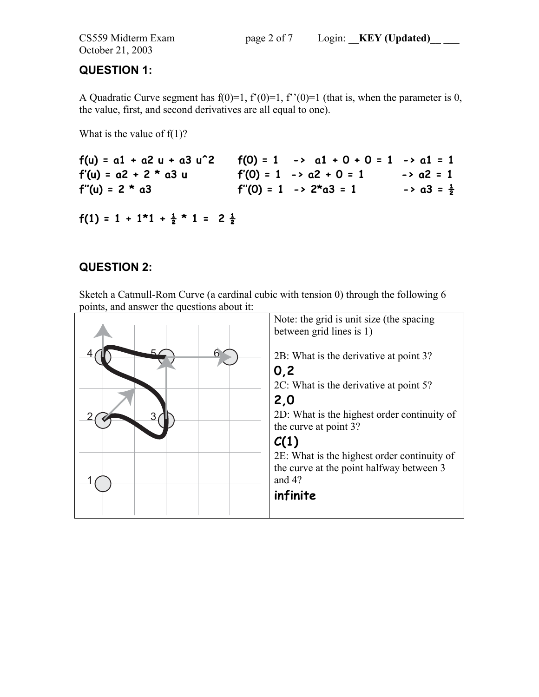October 21, 2003

# **QUESTION 1:**

A Quadratic Curve segment has  $f(0)=1$ ,  $f'(0)=1$ ,  $f''(0)=1$  (that is, when the parameter is 0, the value, first, and second derivatives are all equal to one).

What is the value of  $f(1)$ ?

| $f(u) = a1 + a2 u + a3 u^2$ | $f(0) = 1 \rightarrow a1 + 0 + 0 = 1 \rightarrow a1 = 1$ |                                  |
|-----------------------------|----------------------------------------------------------|----------------------------------|
| $f'(u) = a2 + 2 * a3 u$     | $f'(0) = 1$ -> $a2 + 0 = 1$                              | $\rightarrow$ a2 = 1             |
| $f''(u) = 2 * a3$           | $f''(0) = 1 \rightarrow 2^{\star} a3 = 1$                | $\rightarrow$ a3 = $\frac{1}{2}$ |
|                             |                                                          |                                  |

```
f(1) = 1 + 1 \cdot 1 + \frac{1}{2} \cdot 1 = 2 \frac{1}{2}
```
# **QUESTION 2:**

Sketch a Catmull-Rom Curve (a cardinal cubic with tension 0) through the following 6 points, and answer the questions about it:

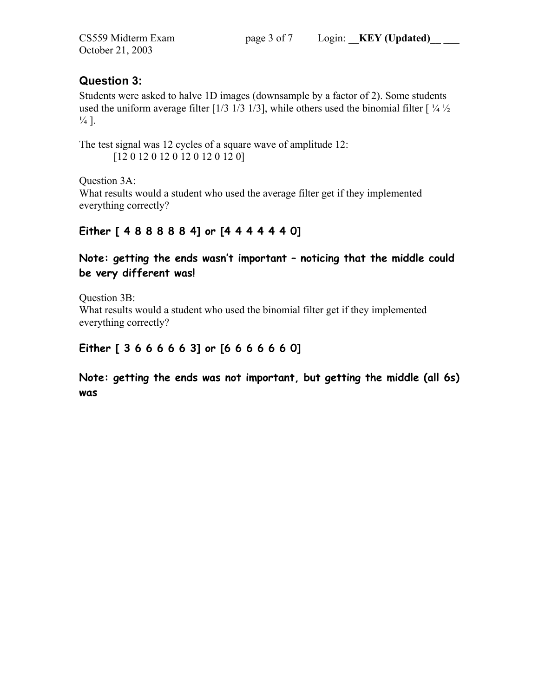## **Question 3:**

Students were asked to halve 1D images (downsample by a factor of 2). Some students used the uniform average filter [1/3 1/3 1/3], while others used the binomial filter  $[1/4]^{1/2}$  $\frac{1}{4}$ .

The test signal was 12 cycles of a square wave of amplitude 12: [12 0 12 0 12 0 12 0 12 0 12 0]

Question 3A: What results would a student who used the average filter get if they implemented everything correctly?

# **Either [ 4 8 8 8 8 8 4] or [4 4 4 4 4 4 0]**

**Note: getting the ends wasn't important – noticing that the middle could be very different was!** 

Question 3B: What results would a student who used the binomial filter get if they implemented everything correctly?

## **Either [ 3 6 6 6 6 6 3] or [6 6 6 6 6 6 0]**

**Note: getting the ends was not important, but getting the middle (all 6s) was**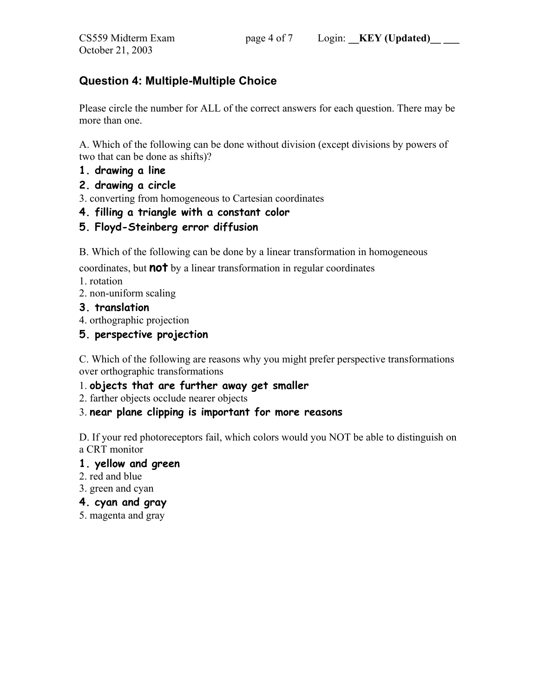## **Question 4: Multiple-Multiple Choice**

Please circle the number for ALL of the correct answers for each question. There may be more than one.

A. Which of the following can be done without division (except divisions by powers of two that can be done as shifts)?

- **1. drawing a line**
- **2. drawing a circle**

3. converting from homogeneous to Cartesian coordinates

- **4. filling a triangle with a constant color**
- **5. Floyd-Steinberg error diffusion**

B. Which of the following can be done by a linear transformation in homogeneous

coordinates, but **not** by a linear transformation in regular coordinates

1. rotation

2. non-uniform scaling

### **3. translation**

4. orthographic projection

### **5. perspective projection**

C. Which of the following are reasons why you might prefer perspective transformations over orthographic transformations

### 1. **objects that are further away get smaller**

2. farther objects occlude nearer objects

### 3. **near plane clipping is important for more reasons**

D. If your red photoreceptors fail, which colors would you NOT be able to distinguish on a CRT monitor

#### **1. yellow and green**

2. red and blue

3. green and cyan

### **4. cyan and gray**

5. magenta and gray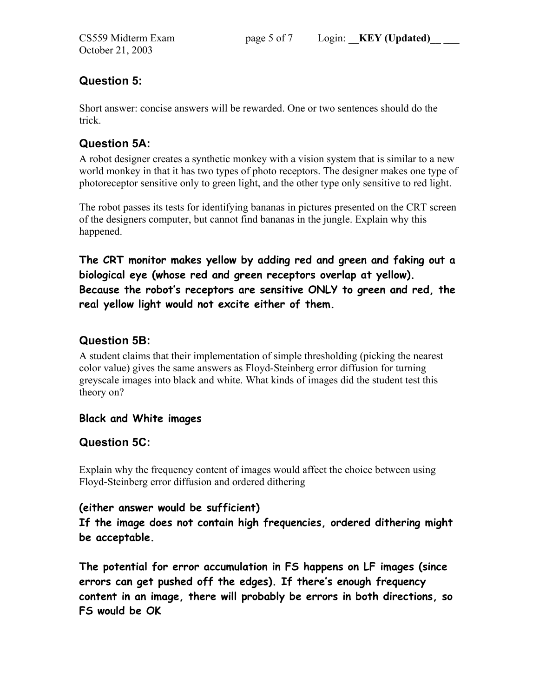# **Question 5:**

Short answer: concise answers will be rewarded. One or two sentences should do the trick.

# **Question 5A:**

A robot designer creates a synthetic monkey with a vision system that is similar to a new world monkey in that it has two types of photo receptors. The designer makes one type of photoreceptor sensitive only to green light, and the other type only sensitive to red light.

The robot passes its tests for identifying bananas in pictures presented on the CRT screen of the designers computer, but cannot find bananas in the jungle. Explain why this happened.

**The CRT monitor makes yellow by adding red and green and faking out a biological eye (whose red and green receptors overlap at yellow). Because the robot's receptors are sensitive ONLY to green and red, the real yellow light would not excite either of them.** 

# **Question 5B:**

A student claims that their implementation of simple thresholding (picking the nearest color value) gives the same answers as Floyd-Steinberg error diffusion for turning greyscale images into black and white. What kinds of images did the student test this theory on?

## **Black and White images**

## **Question 5C:**

Explain why the frequency content of images would affect the choice between using Floyd-Steinberg error diffusion and ordered dithering

## **(either answer would be sufficient)**

**If the image does not contain high frequencies, ordered dithering might be acceptable.** 

**The potential for error accumulation in FS happens on LF images (since errors can get pushed off the edges). If there's enough frequency content in an image, there will probably be errors in both directions, so FS would be OK**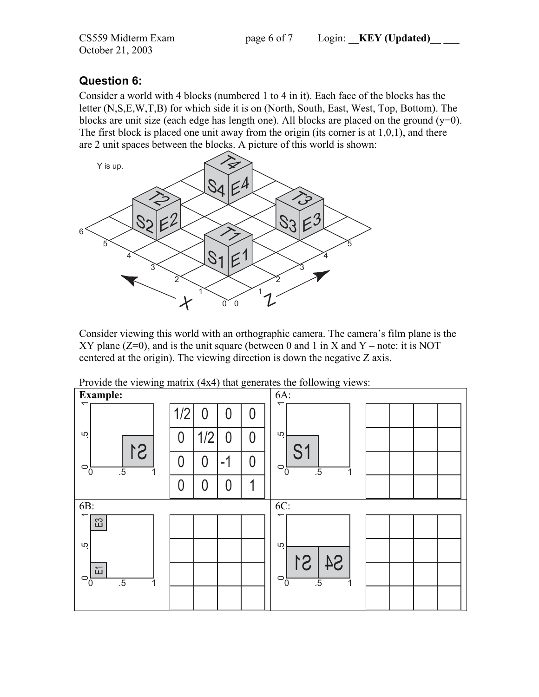October 21, 2003

## **Question 6:**

Consider a world with 4 blocks (numbered 1 to 4 in it). Each face of the blocks has the letter (N,S,E,W,T,B) for which side it is on (North, South, East, West, Top, Bottom). The blocks are unit size (each edge has length one). All blocks are placed on the ground  $(y=0)$ . The first block is placed one unit away from the origin (its corner is at 1,0,1), and there are 2 unit spaces between the blocks. A picture of this world is shown:



Consider viewing this world with an orthographic camera. The camera's film plane is the XY plane  $(Z=0)$ , and is the unit square (between 0 and 1 in X and Y – note: it is NOT centered at the origin). The viewing direction is down the negative Z axis.

| <b>Example:</b>                              |          |                |      |   | 6A:                                            |
|----------------------------------------------|----------|----------------|------|---|------------------------------------------------|
| ᠇                                            | 1/2      | 0              | 0    | 0 | ↽                                              |
| rù                                           | $\Omega$ | 1/2            | 0    | 0 | LO                                             |
| S <sub>1</sub><br>$\circ$ <sub>0</sub><br>.5 | 0        | $\overline{0}$ | $-1$ | 0 | S1<br>$\circ$ ò<br>.5                          |
|                                              | 0        | 0              | 0    | 1 |                                                |
| 6B:                                          |          |                |      |   | 6C:                                            |
| ᠇                                            |          |                |      |   | ᠇                                              |
| $\Xi$                                        |          |                |      |   |                                                |
| rò                                           |          |                |      |   | 5                                              |
| 。<br>「山<br>$\circ$ <sub>0</sub><br>.5        |          |                |      |   | S4<br>S1<br>$\circ$ $\circ$<br>$\overline{.5}$ |

Provide the viewing matrix (4x4) that generates the following views: